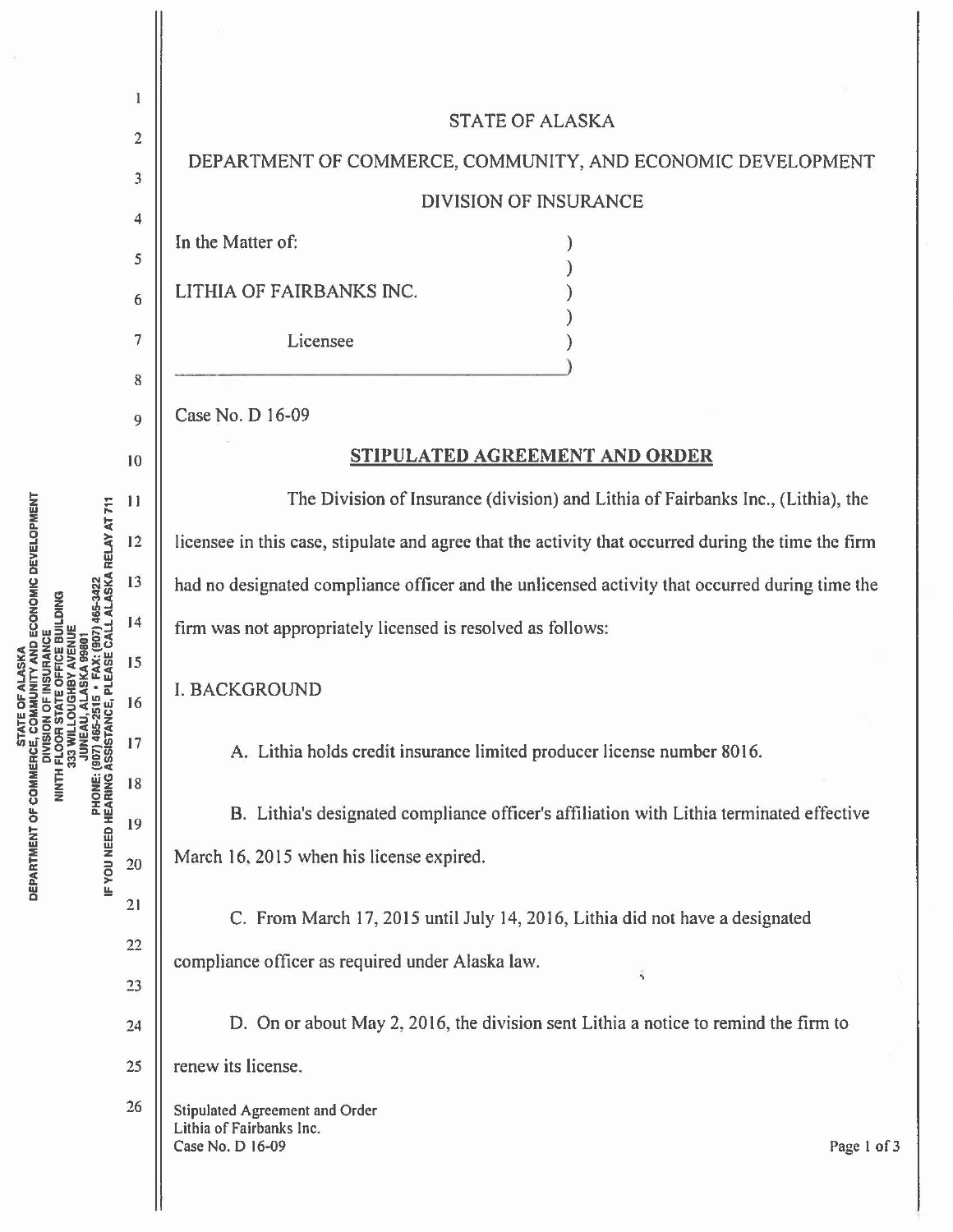|                                                                                                                                | 1               |                                                                                                      |
|--------------------------------------------------------------------------------------------------------------------------------|-----------------|------------------------------------------------------------------------------------------------------|
| • FAX: (907) 465-3422<br>PLEASE CALL ALASKA RELAY AT 711<br><b>PHONE: (907) 465-2515<br/>IF YOU NEED HEARING ASSISTANCE, I</b> |                 | <b>STATE OF ALASKA</b>                                                                               |
|                                                                                                                                | $\overline{c}$  | DEPARTMENT OF COMMERCE, COMMUNITY, AND ECONOMIC DEVELOPMENT                                          |
|                                                                                                                                | 3               | <b>DIVISION OF INSURANCE</b>                                                                         |
|                                                                                                                                | 4               | In the Matter of:                                                                                    |
|                                                                                                                                | 5               | LITHIA OF FAIRBANKS INC.                                                                             |
|                                                                                                                                | 6               |                                                                                                      |
|                                                                                                                                | 7               | Licensee                                                                                             |
|                                                                                                                                | 8               |                                                                                                      |
|                                                                                                                                | $\overline{9}$  | Case No. D 16-09                                                                                     |
|                                                                                                                                | 10              | STIPULATED AGREEMENT AND ORDER                                                                       |
|                                                                                                                                | $\overline{11}$ | The Division of Insurance (division) and Lithia of Fairbanks Inc., (Lithia), the                     |
|                                                                                                                                | 12              | licensee in this case, stipulate and agree that the activity that occurred during the time the firm  |
|                                                                                                                                | 13              | had no designated compliance officer and the unlicensed activity that occurred during time the       |
|                                                                                                                                | 14              | firm was not appropriately licensed is resolved as follows:                                          |
|                                                                                                                                | 15              |                                                                                                      |
|                                                                                                                                | 16              | <b>I. BACKGROUND</b>                                                                                 |
|                                                                                                                                | 17              | A. Lithia holds credit insurance limited producer license number 8016.                               |
|                                                                                                                                | 18              |                                                                                                      |
|                                                                                                                                | 19              | B. Lithia's designated compliance officer's affiliation with Lithia terminated effective             |
|                                                                                                                                | 20              | March 16, 2015 when his license expired.                                                             |
|                                                                                                                                | 21              | C. From March 17, 2015 until July 14, 2016, Lithia did not have a designated                         |
|                                                                                                                                | 22              | compliance officer as required under Alaska law.                                                     |
|                                                                                                                                | 23              | $\overline{\phantom{a}}$                                                                             |
|                                                                                                                                | 24              | D. On or about May 2, 2016, the division sent Lithia a notice to remind the firm to                  |
|                                                                                                                                | 25              | renew its license.                                                                                   |
|                                                                                                                                | 26              | <b>Stipulated Agreement and Order</b><br>Lithia of Fairbanks Inc.<br>Case No. D 16-09<br>Page 1 of 3 |

**STATE OF ALASKA<br>DEPARTMENT OF COMMERCE, COMMUNITY AND ECONOMIC DEVELOPMENT<br>DIVISION OF INSURANCE<br>NINTH FLOOR STATE OFFICE BUILDING<br>SIS WILLOUGHBY AVENUE<br>COMMERCE SERVICE BUILDING<br>COMMERCE AND ALASKA 99801**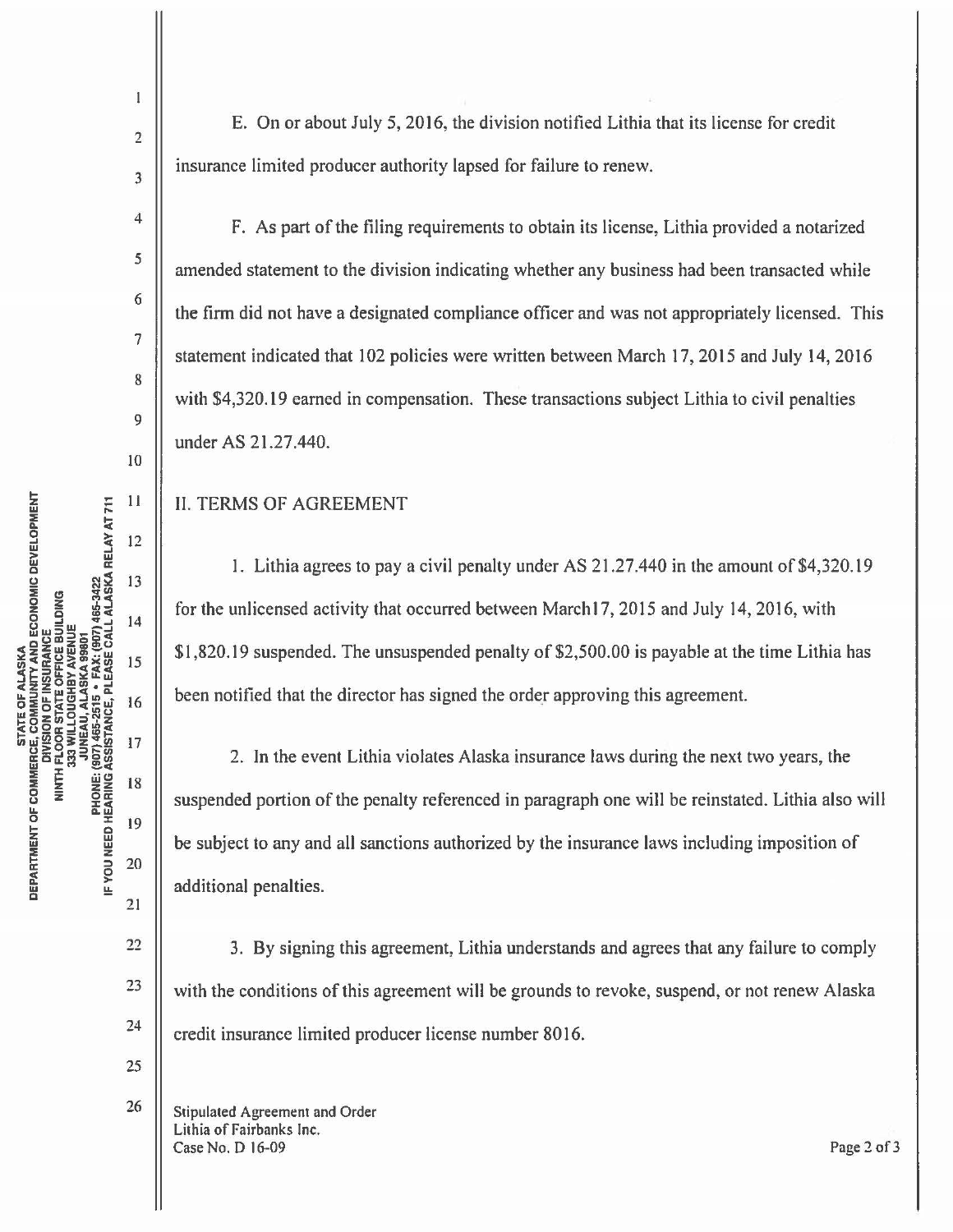$\overline{2}$ 

 $\mathbf{1}$ 

3

4

5

6

7

8

9

JO

 $11$ 

 $12$ 

13

 $14$ 

15

16

17

18

19

20

 $21$ 

22

23

24

25

26

E. On or about July 5, 2016, the division notified Lithia that its license for credit insurance limited producer authority lapsed for failure to renew.

F. As part of the filing requirements to obtain its license, Lithia provided a notarized amended statement to the division indicating whether any business had been transacted while the firm did not have a designated compliance officer and was not appropriately licensed. This statement indicated that 102 policies were written between March 17, 2015 and July 14, 2016 with \$4,320.19 earned in compensation. These transactions subject Lithia to civil penalties under AS 21.27.440.

## II. TERMS OF AGREEMENT

1. Lithia agrees to pay a civil penalty under AS 21.27.440 in the amount of \$4,320.19 for the unlicensed activity that occurred between Marchi 7, 2015 and July 14, 2016, with \$1,820.19 suspended. The unsuspended penalty of \$2,500.00 is payable at the time Lithia has been notified that the director has signed the order approving this agreement.

2. In the event Lithia violates Alaska insurance laws during the next two years, the suspended portion of the penalty referenced in paragraph one will be reinstated. Lithia also will be subject to any and all sanctions authorized by the insurance laws including imposition of additional penalties.

3. By signing this agreement, Lithia understands and agrees that any failure to comply with the conditions of this agreement will be grounds to revoke, suspend, or not renew Alaska credit insurance limited producer license number 8016.

Stipulated Agreement and Order Lithia of Fairbanks Inc. Case No. D 16-09 Page 2of3